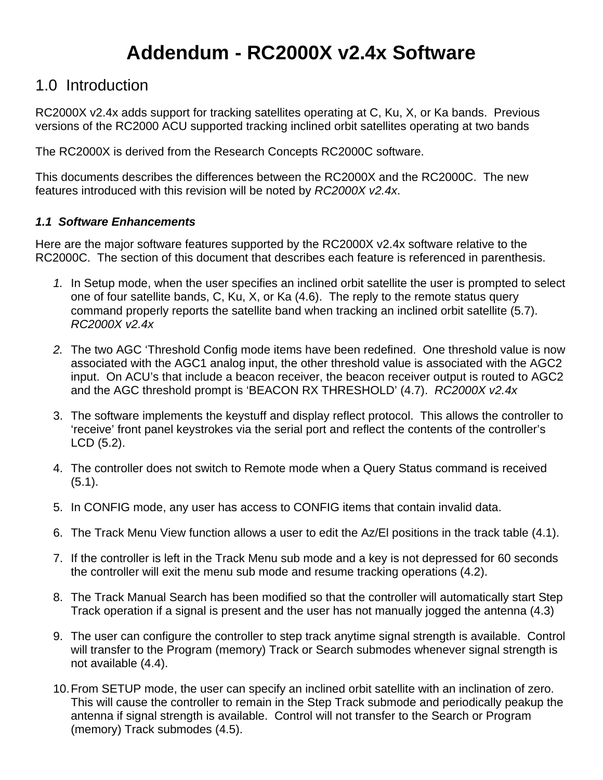# **Addendum - RC2000X v2.4x Software**

### 1.0 Introduction

RC2000X v2.4x adds support for tracking satellites operating at C, Ku, X, or Ka bands. Previous versions of the RC2000 ACU supported tracking inclined orbit satellites operating at two bands

The RC2000X is derived from the Research Concepts RC2000C software.

This documents describes the differences between the RC2000X and the RC2000C. The new features introduced with this revision will be noted by *RC2000X v2.4x*.

#### *1.1 Software Enhancements*

Here are the major software features supported by the RC2000X v2.4x software relative to the RC2000C. The section of this document that describes each feature is referenced in parenthesis.

- *1.* In Setup mode, when the user specifies an inclined orbit satellite the user is prompted to select one of four satellite bands, C, Ku, X, or Ka (4.6). The reply to the remote status query command properly reports the satellite band when tracking an inclined orbit satellite (5.7). *RC2000X v2.4x*
- *2.* The two AGC 'Threshold Config mode items have been redefined. One threshold value is now associated with the AGC1 analog input, the other threshold value is associated with the AGC2 input. On ACU's that include a beacon receiver, the beacon receiver output is routed to AGC2 and the AGC threshold prompt is 'BEACON RX THRESHOLD' (4.7). *RC2000X v2.4x*
- 3. The software implements the keystuff and display reflect protocol. This allows the controller to 'receive' front panel keystrokes via the serial port and reflect the contents of the controller's LCD (5.2).
- 4. The controller does not switch to Remote mode when a Query Status command is received (5.1).
- 5. In CONFIG mode, any user has access to CONFIG items that contain invalid data.
- 6. The Track Menu View function allows a user to edit the Az/El positions in the track table (4.1).
- 7. If the controller is left in the Track Menu sub mode and a key is not depressed for 60 seconds the controller will exit the menu sub mode and resume tracking operations (4.2).
- 8. The Track Manual Search has been modified so that the controller will automatically start Step Track operation if a signal is present and the user has not manually jogged the antenna (4.3)
- 9. The user can configure the controller to step track anytime signal strength is available. Control will transfer to the Program (memory) Track or Search submodes whenever signal strength is not available (4.4).
- 10. From SETUP mode, the user can specify an inclined orbit satellite with an inclination of zero. This will cause the controller to remain in the Step Track submode and periodically peakup the antenna if signal strength is available. Control will not transfer to the Search or Program (memory) Track submodes (4.5).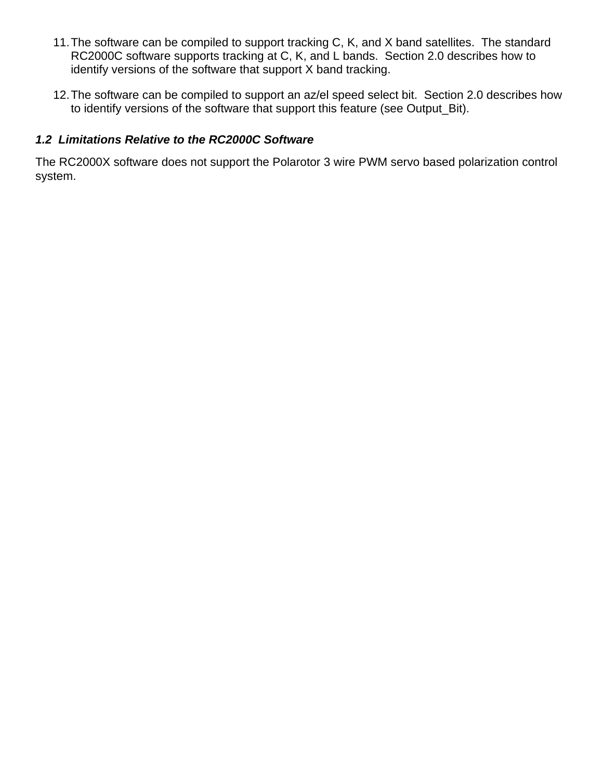- 11. The software can be compiled to support tracking C, K, and X band satellites. The standard RC2000C software supports tracking at C, K, and L bands. Section 2.0 describes how to identify versions of the software that support X band tracking.
- 12. The software can be compiled to support an az/el speed select bit. Section 2.0 describes how to identify versions of the software that support this feature (see Output\_Bit).

#### *1.2 Limitations Relative to the RC2000C Software*

The RC2000X software does not support the Polarotor 3 wire PWM servo based polarization control system.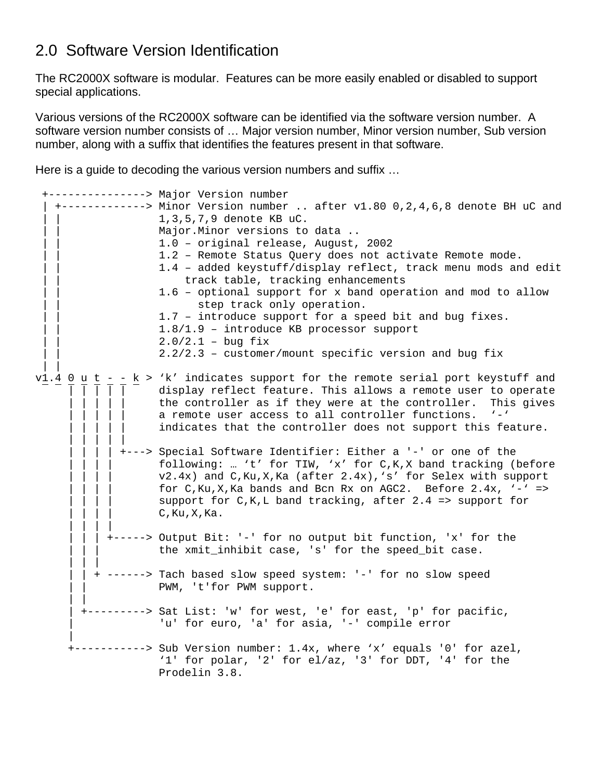### 2.0 Software Version Identification

The RC2000X software is modular. Features can be more easily enabled or disabled to support special applications.

Various versions of the RC2000X software can be identified via the software version number. A software version number consists of … Major version number, Minor version number, Sub version number, along with a suffix that identifies the features present in that software.

Here is a guide to decoding the various version numbers and suffix …

```
 +---------------> Major Version number 
   | +-------------> Minor Version number .. after v1.80 0,2,4,6,8 denote BH uC and 
                    | | 1,3,5,7,9 denote KB uC. 
                   Major. Minor versions to data ..
                    | | 1.0 – original release, August, 2002 
                   1.2 - Remote Status Query does not activate Remote mode.
                    | | 1.4 – added keystuff/display reflect, track menu mods and edit 
                       track table, tracking enhancements
                   1.6 - optional support for x band operation and mod to allow
                         step track only operation.
                   1.7 - introduce support for a speed bit and bug fixes.
                    | | 1.8/1.9 – introduce KB processor support 
                   2.0/2.1 - bug fix2.2/2.3 – customer/mount specific version and bug fix
 | | 
v1.4 0 u t - - k > 'k' indicates support for the remote serial port keystuff and
 | | | | | display reflect feature. This allows a remote user to operate 
                   the controller as if they were at the controller. This gives
                   a remote user access to all controller functions. '-'
                   indicates that the controller does not support this feature.
 | | | | | 
              | | | | +---> Special Software Identifier: Either a '-' or one of the 
                   following: ... 't' for TIW, 'x' for C,K,X band tracking (before
                   v2.4x) and C,Ku,X,Ka (after 2.4x),'s' for Selex with support
                   for C,Ku,X,Ka bands and Bcn Rx on AGC2. Before 2.4x, \cdot-\cdot =>
                   support for C, K, L band tracking, after 2.4 => support for
                   C, Ku, X, Ka.
 | | | | 
            | | | +-----> Output Bit: '-' for no output bit function, 'x' for the 
                   the xmit_inhibit case, 's' for the speed_bit case.
 | | | 
          | | + ------> Tach based slow speed system: '-' for no slow speed 
                   PWM, 't'for PWM support.
 | | 
        | +---------> Sat List: 'w' for west, 'e' for east, 'p' for pacific, 
                   'u' for euro, 'a' for asia, '-' compile error
 | 
      +-----------> Sub Version number: 1.4x, where 'x' equals '0' for azel, 
                    '1' for polar, '2' for el/az, '3' for DDT, '4' for the 
                    Prodelin 3.8.
```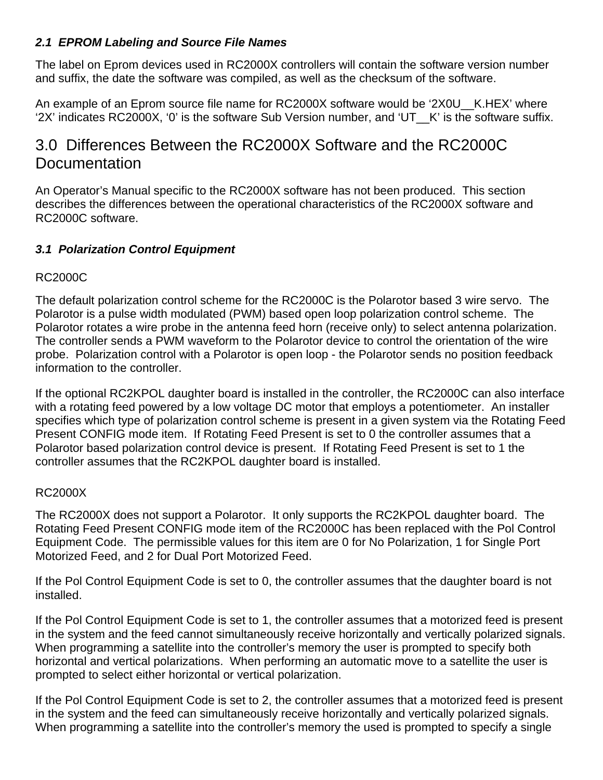#### *2.1 EPROM Labeling and Source File Names*

The label on Eprom devices used in RC2000X controllers will contain the software version number and suffix, the date the software was compiled, as well as the checksum of the software.

An example of an Eprom source file name for RC2000X software would be '2X0U\_\_K.HEX' where '2X' indicates RC2000X, '0' is the software Sub Version number, and 'UT\_\_K' is the software suffix.

# 3.0 Differences Between the RC2000X Software and the RC2000C **Documentation**

An Operator's Manual specific to the RC2000X software has not been produced. This section describes the differences between the operational characteristics of the RC2000X software and RC2000C software.

#### *3.1 Polarization Control Equipment*

#### RC2000C

The default polarization control scheme for the RC2000C is the Polarotor based 3 wire servo. The Polarotor is a pulse width modulated (PWM) based open loop polarization control scheme. The Polarotor rotates a wire probe in the antenna feed horn (receive only) to select antenna polarization. The controller sends a PWM waveform to the Polarotor device to control the orientation of the wire probe. Polarization control with a Polarotor is open loop - the Polarotor sends no position feedback information to the controller.

If the optional RC2KPOL daughter board is installed in the controller, the RC2000C can also interface with a rotating feed powered by a low voltage DC motor that employs a potentiometer. An installer specifies which type of polarization control scheme is present in a given system via the Rotating Feed Present CONFIG mode item. If Rotating Feed Present is set to 0 the controller assumes that a Polarotor based polarization control device is present. If Rotating Feed Present is set to 1 the controller assumes that the RC2KPOL daughter board is installed.

#### RC2000X

The RC2000X does not support a Polarotor. It only supports the RC2KPOL daughter board. The Rotating Feed Present CONFIG mode item of the RC2000C has been replaced with the Pol Control Equipment Code. The permissible values for this item are 0 for No Polarization, 1 for Single Port Motorized Feed, and 2 for Dual Port Motorized Feed.

If the Pol Control Equipment Code is set to 0, the controller assumes that the daughter board is not installed.

If the Pol Control Equipment Code is set to 1, the controller assumes that a motorized feed is present in the system and the feed cannot simultaneously receive horizontally and vertically polarized signals. When programming a satellite into the controller's memory the user is prompted to specify both horizontal and vertical polarizations. When performing an automatic move to a satellite the user is prompted to select either horizontal or vertical polarization.

If the Pol Control Equipment Code is set to 2, the controller assumes that a motorized feed is present in the system and the feed can simultaneously receive horizontally and vertically polarized signals. When programming a satellite into the controller's memory the used is prompted to specify a single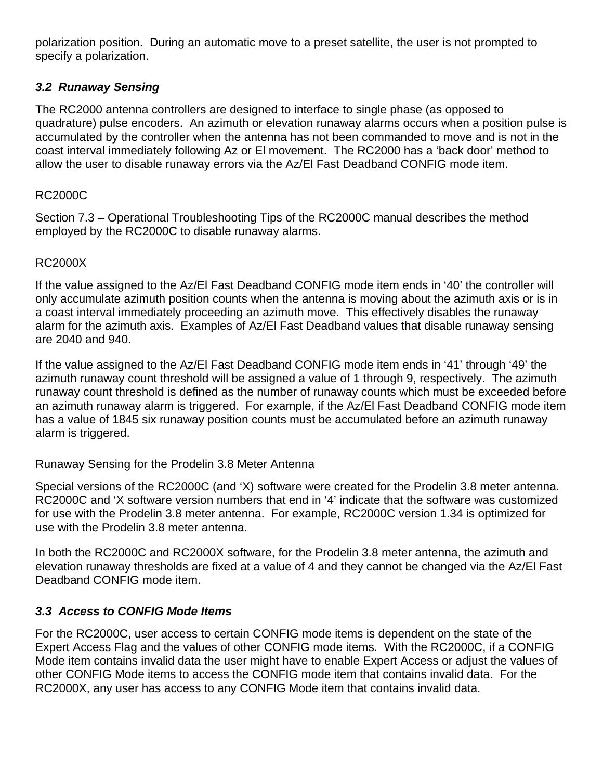polarization position. During an automatic move to a preset satellite, the user is not prompted to specify a polarization.

#### *3.2 Runaway Sensing*

The RC2000 antenna controllers are designed to interface to single phase (as opposed to quadrature) pulse encoders. An azimuth or elevation runaway alarms occurs when a position pulse is accumulated by the controller when the antenna has not been commanded to move and is not in the coast interval immediately following Az or El movement. The RC2000 has a 'back door' method to allow the user to disable runaway errors via the Az/El Fast Deadband CONFIG mode item.

#### RC2000C

Section 7.3 – Operational Troubleshooting Tips of the RC2000C manual describes the method employed by the RC2000C to disable runaway alarms.

#### RC2000X

If the value assigned to the Az/El Fast Deadband CONFIG mode item ends in '40' the controller will only accumulate azimuth position counts when the antenna is moving about the azimuth axis or is in a coast interval immediately proceeding an azimuth move. This effectively disables the runaway alarm for the azimuth axis. Examples of Az/El Fast Deadband values that disable runaway sensing are 2040 and 940.

If the value assigned to the Az/El Fast Deadband CONFIG mode item ends in '41' through '49' the azimuth runaway count threshold will be assigned a value of 1 through 9, respectively. The azimuth runaway count threshold is defined as the number of runaway counts which must be exceeded before an azimuth runaway alarm is triggered. For example, if the Az/El Fast Deadband CONFIG mode item has a value of 1845 six runaway position counts must be accumulated before an azimuth runaway alarm is triggered.

Runaway Sensing for the Prodelin 3.8 Meter Antenna

Special versions of the RC2000C (and 'X) software were created for the Prodelin 3.8 meter antenna. RC2000C and 'X software version numbers that end in '4' indicate that the software was customized for use with the Prodelin 3.8 meter antenna. For example, RC2000C version 1.34 is optimized for use with the Prodelin 3.8 meter antenna.

In both the RC2000C and RC2000X software, for the Prodelin 3.8 meter antenna, the azimuth and elevation runaway thresholds are fixed at a value of 4 and they cannot be changed via the Az/El Fast Deadband CONFIG mode item.

#### *3.3 Access to CONFIG Mode Items*

For the RC2000C, user access to certain CONFIG mode items is dependent on the state of the Expert Access Flag and the values of other CONFIG mode items. With the RC2000C, if a CONFIG Mode item contains invalid data the user might have to enable Expert Access or adjust the values of other CONFIG Mode items to access the CONFIG mode item that contains invalid data. For the RC2000X, any user has access to any CONFIG Mode item that contains invalid data.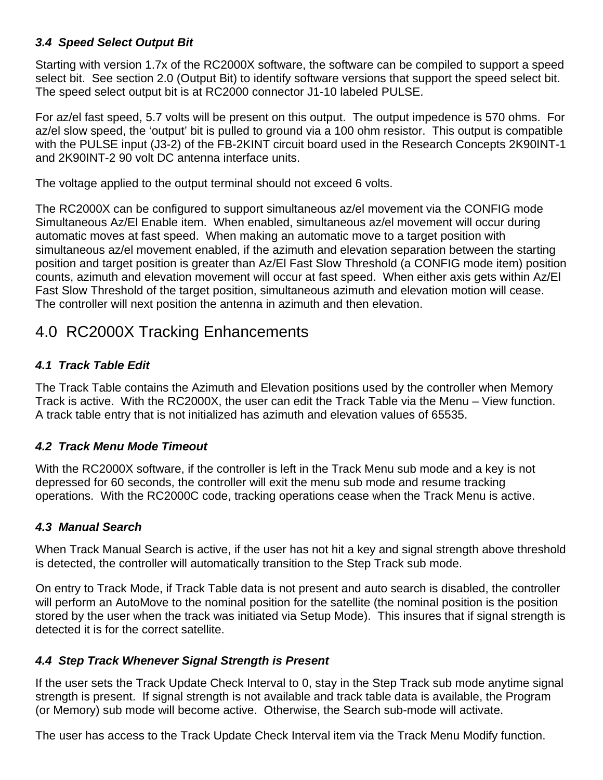#### *3.4 Speed Select Output Bit*

Starting with version 1.7x of the RC2000X software, the software can be compiled to support a speed select bit. See section 2.0 (Output Bit) to identify software versions that support the speed select bit. The speed select output bit is at RC2000 connector J1-10 labeled PULSE.

For az/el fast speed, 5.7 volts will be present on this output. The output impedence is 570 ohms. For az/el slow speed, the 'output' bit is pulled to ground via a 100 ohm resistor. This output is compatible with the PULSE input (J3-2) of the FB-2KINT circuit board used in the Research Concepts 2K90INT-1 and 2K90INT-2 90 volt DC antenna interface units.

The voltage applied to the output terminal should not exceed 6 volts.

The RC2000X can be configured to support simultaneous az/el movement via the CONFIG mode Simultaneous Az/El Enable item. When enabled, simultaneous az/el movement will occur during automatic moves at fast speed. When making an automatic move to a target position with simultaneous az/el movement enabled, if the azimuth and elevation separation between the starting position and target position is greater than Az/El Fast Slow Threshold (a CONFIG mode item) position counts, azimuth and elevation movement will occur at fast speed. When either axis gets within Az/El Fast Slow Threshold of the target position, simultaneous azimuth and elevation motion will cease. The controller will next position the antenna in azimuth and then elevation.

# 4.0 RC2000X Tracking Enhancements

#### *4.1 Track Table Edit*

The Track Table contains the Azimuth and Elevation positions used by the controller when Memory Track is active. With the RC2000X, the user can edit the Track Table via the Menu – View function. A track table entry that is not initialized has azimuth and elevation values of 65535.

#### *4.2 Track Menu Mode Timeout*

With the RC2000X software, if the controller is left in the Track Menu sub mode and a key is not depressed for 60 seconds, the controller will exit the menu sub mode and resume tracking operations. With the RC2000C code, tracking operations cease when the Track Menu is active.

#### *4.3 Manual Search*

When Track Manual Search is active, if the user has not hit a key and signal strength above threshold is detected, the controller will automatically transition to the Step Track sub mode.

On entry to Track Mode, if Track Table data is not present and auto search is disabled, the controller will perform an AutoMove to the nominal position for the satellite (the nominal position is the position stored by the user when the track was initiated via Setup Mode). This insures that if signal strength is detected it is for the correct satellite.

#### *4.4 Step Track Whenever Signal Strength is Present*

If the user sets the Track Update Check Interval to 0, stay in the Step Track sub mode anytime signal strength is present. If signal strength is not available and track table data is available, the Program (or Memory) sub mode will become active. Otherwise, the Search sub-mode will activate.

The user has access to the Track Update Check Interval item via the Track Menu Modify function.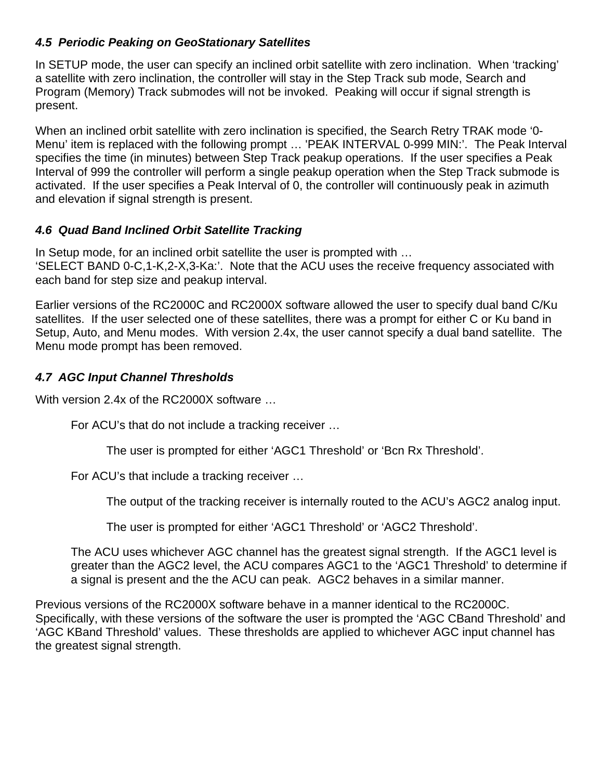#### *4.5 Periodic Peaking on GeoStationary Satellites*

In SETUP mode, the user can specify an inclined orbit satellite with zero inclination. When 'tracking' a satellite with zero inclination, the controller will stay in the Step Track sub mode, Search and Program (Memory) Track submodes will not be invoked. Peaking will occur if signal strength is present.

When an inclined orbit satellite with zero inclination is specified, the Search Retry TRAK mode '0-Menu' item is replaced with the following prompt … 'PEAK INTERVAL 0-999 MIN:'. The Peak Interval specifies the time (in minutes) between Step Track peakup operations. If the user specifies a Peak Interval of 999 the controller will perform a single peakup operation when the Step Track submode is activated. If the user specifies a Peak Interval of 0, the controller will continuously peak in azimuth and elevation if signal strength is present.

#### *4.6 Quad Band Inclined Orbit Satellite Tracking*

In Setup mode, for an inclined orbit satellite the user is prompted with … 'SELECT BAND 0-C,1-K,2-X,3-Ka:'. Note that the ACU uses the receive frequency associated with each band for step size and peakup interval.

Earlier versions of the RC2000C and RC2000X software allowed the user to specify dual band C/Ku satellites. If the user selected one of these satellites, there was a prompt for either C or Ku band in Setup, Auto, and Menu modes. With version 2.4x, the user cannot specify a dual band satellite. The Menu mode prompt has been removed.

#### *4.7 AGC Input Channel Thresholds*

With version 2.4x of the RC2000X software …

For ACU's that do not include a tracking receiver …

The user is prompted for either 'AGC1 Threshold' or 'Bcn Rx Threshold'.

For ACU's that include a tracking receiver …

The output of the tracking receiver is internally routed to the ACU's AGC2 analog input.

The user is prompted for either 'AGC1 Threshold' or 'AGC2 Threshold'.

The ACU uses whichever AGC channel has the greatest signal strength. If the AGC1 level is greater than the AGC2 level, the ACU compares AGC1 to the 'AGC1 Threshold' to determine if a signal is present and the the ACU can peak. AGC2 behaves in a similar manner.

Previous versions of the RC2000X software behave in a manner identical to the RC2000C. Specifically, with these versions of the software the user is prompted the 'AGC CBand Threshold' and 'AGC KBand Threshold' values. These thresholds are applied to whichever AGC input channel has the greatest signal strength.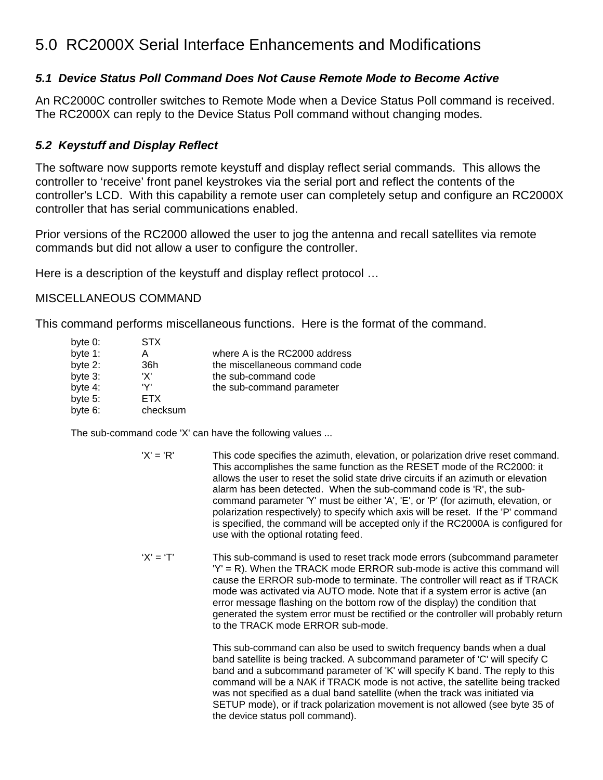# 5.0 RC2000X Serial Interface Enhancements and Modifications

#### *5.1 Device Status Poll Command Does Not Cause Remote Mode to Become Active*

An RC2000C controller switches to Remote Mode when a Device Status Poll command is received. The RC2000X can reply to the Device Status Poll command without changing modes.

#### *5.2 Keystuff and Display Reflect*

The software now supports remote keystuff and display reflect serial commands. This allows the controller to 'receive' front panel keystrokes via the serial port and reflect the contents of the controller's LCD. With this capability a remote user can completely setup and configure an RC2000X controller that has serial communications enabled.

Prior versions of the RC2000 allowed the user to jog the antenna and recall satellites via remote commands but did not allow a user to configure the controller.

Here is a description of the keystuff and display reflect protocol …

#### MISCELLANEOUS COMMAND

This command performs miscellaneous functions. Here is the format of the command.

| byte 0:    | <b>STX</b> |                                |
|------------|------------|--------------------------------|
| byte 1:    | А          | where A is the RC2000 address  |
| byte 2:    | 36h        | the miscellaneous command code |
| byte 3:    | 'X'        | the sub-command code           |
| byte 4:    | 'Y'        | the sub-command parameter      |
| byte $5$ : | ETX.       |                                |
| byte 6:    | checksum   |                                |

The sub-command code 'X' can have the following values ...

- 'X' = 'R' This code specifies the azimuth, elevation, or polarization drive reset command. This accomplishes the same function as the RESET mode of the RC2000: it allows the user to reset the solid state drive circuits if an azimuth or elevation alarm has been detected. When the sub-command code is 'R', the subcommand parameter 'Y' must be either 'A', 'E', or 'P' (for azimuth, elevation, or polarization respectively) to specify which axis will be reset. If the 'P' command is specified, the command will be accepted only if the RC2000A is configured for use with the optional rotating feed.
- $'X' = 'T'$  This sub-command is used to reset track mode errors (subcommand parameter  $'Y' = R$ ). When the TRACK mode ERROR sub-mode is active this command will cause the ERROR sub-mode to terminate. The controller will react as if TRACK mode was activated via AUTO mode. Note that if a system error is active (an error message flashing on the bottom row of the display) the condition that generated the system error must be rectified or the controller will probably return to the TRACK mode ERROR sub-mode.

 This sub-command can also be used to switch frequency bands when a dual band satellite is being tracked. A subcommand parameter of 'C' will specify C band and a subcommand parameter of 'K' will specify K band. The reply to this command will be a NAK if TRACK mode is not active, the satellite being tracked was not specified as a dual band satellite (when the track was initiated via SETUP mode), or if track polarization movement is not allowed (see byte 35 of the device status poll command).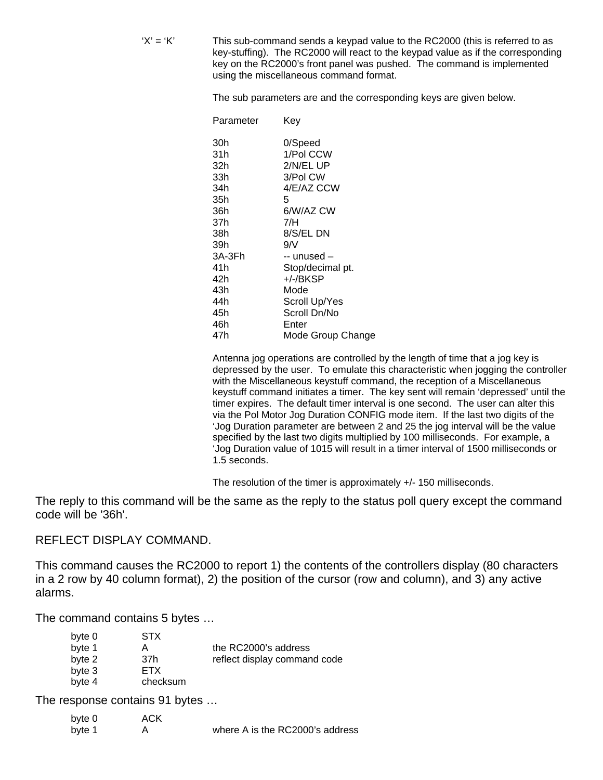$'X' = 'K'$  This sub-command sends a keypad value to the RC2000 (this is referred to as key-stuffing). The RC2000 will react to the keypad value as if the corresponding key on the RC2000's front panel was pushed. The command is implemented using the miscellaneous command format.

The sub parameters are and the corresponding keys are given below.

| Parameter | Key               |
|-----------|-------------------|
| 30h       | 0/Speed           |
| 31h       | 1/Pol CCW         |
| 32h       | 2/N/EL UP         |
| 33h       | 3/Pol CW          |
| 34h       | 4/E/AZ CCW        |
| 35h       | 5                 |
| 36h       | 6/W/AZ CW         |
| 37h       | 7/H               |
| 38h       | 8/S/EL DN         |
| 39h       | 9/N               |
| 3A-3Fh    | -- unused –       |
| 41h       | Stop/decimal pt.  |
| 42h       | +/-/BKSP          |
| 43h       | Mode              |
| 44h       | Scroll Up/Yes     |
| 45h       | Scroll Dn/No      |
| 46h       | Enter             |
| 47h       | Mode Group Change |

 Antenna jog operations are controlled by the length of time that a jog key is depressed by the user. To emulate this characteristic when jogging the controller with the Miscellaneous keystuff command, the reception of a Miscellaneous keystuff command initiates a timer. The key sent will remain 'depressed' until the timer expires. The default timer interval is one second. The user can alter this via the Pol Motor Jog Duration CONFIG mode item. If the last two digits of the 'Jog Duration parameter are between 2 and 25 the jog interval will be the value specified by the last two digits multiplied by 100 milliseconds. For example, a 'Jog Duration value of 1015 will result in a timer interval of 1500 milliseconds or 1.5 seconds.

The resolution of the timer is approximately +/- 150 milliseconds.

The reply to this command will be the same as the reply to the status poll query except the command code will be '36h'.

#### REFLECT DISPLAY COMMAND.

This command causes the RC2000 to report 1) the contents of the controllers display (80 characters in a 2 row by 40 column format), 2) the position of the cursor (row and column), and 3) any active alarms.

The command contains 5 bytes …

| byte 0 | <b>STX</b> |                              |
|--------|------------|------------------------------|
| byte 1 | А          | the RC2000's address         |
| byte 2 | 37h        | reflect display command code |
| byte 3 | ETX.       |                              |
| byte 4 | checksum   |                              |

The response contains 91 bytes …

| byte 0 | ACK |                                 |
|--------|-----|---------------------------------|
| byte 1 |     | where A is the RC2000's address |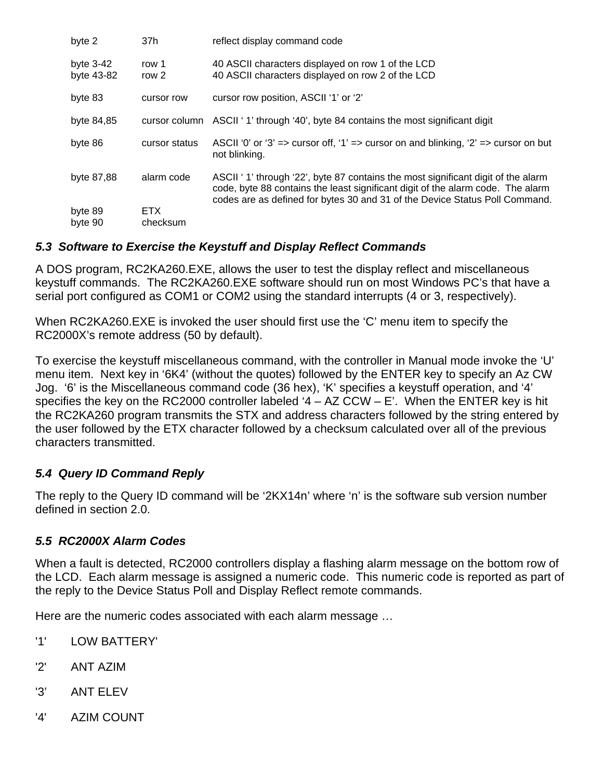| byte 2                    | 37h                    | reflect display command code                                                                                                                                                                                                                       |  |
|---------------------------|------------------------|----------------------------------------------------------------------------------------------------------------------------------------------------------------------------------------------------------------------------------------------------|--|
| byte $3-42$<br>byte 43-82 | row 1<br>row 2         | 40 ASCII characters displayed on row 1 of the LCD<br>40 ASCII characters displayed on row 2 of the LCD                                                                                                                                             |  |
| byte 83                   | cursor row             | cursor row position, ASCII '1' or '2'                                                                                                                                                                                                              |  |
| byte 84,85                |                        | cursor column ASCII '1' through '40', byte 84 contains the most significant digit                                                                                                                                                                  |  |
| byte 86                   | cursor status          | ASCII '0' or '3' => cursor off, '1' => cursor on and blinking, '2' => cursor on but<br>not blinking.                                                                                                                                               |  |
| byte 87,88                | alarm code             | ASCII '1' through '22', byte 87 contains the most significant digit of the alarm<br>code, byte 88 contains the least significant digit of the alarm code. The alarm<br>codes are as defined for bytes 30 and 31 of the Device Status Poll Command. |  |
| byte 89<br>byte 90        | <b>ETX</b><br>checksum |                                                                                                                                                                                                                                                    |  |

#### *5.3 Software to Exercise the Keystuff and Display Reflect Commands*

A DOS program, RC2KA260.EXE, allows the user to test the display reflect and miscellaneous keystuff commands. The RC2KA260.EXE software should run on most Windows PC's that have a serial port configured as COM1 or COM2 using the standard interrupts (4 or 3, respectively).

When RC2KA260.EXE is invoked the user should first use the 'C' menu item to specify the RC2000X's remote address (50 by default).

To exercise the keystuff miscellaneous command, with the controller in Manual mode invoke the 'U' menu item. Next key in '6K4' (without the quotes) followed by the ENTER key to specify an Az CW Jog. '6' is the Miscellaneous command code (36 hex), 'K' specifies a keystuff operation, and '4' specifies the key on the RC2000 controller labeled  $4 - AZ$  CCW  $- E$ . When the ENTER key is hit the RC2KA260 program transmits the STX and address characters followed by the string entered by the user followed by the ETX character followed by a checksum calculated over all of the previous characters transmitted.

#### *5.4 Query ID Command Reply*

The reply to the Query ID command will be '2KX14n' where 'n' is the software sub version number defined in section 2.0.

#### *5.5 RC2000X Alarm Codes*

When a fault is detected, RC2000 controllers display a flashing alarm message on the bottom row of the LCD. Each alarm message is assigned a numeric code. This numeric code is reported as part of the reply to the Device Status Poll and Display Reflect remote commands.

Here are the numeric codes associated with each alarm message …

- '1' LOW BATTERY'
- '2' ANT AZIM
- '3' ANT ELEV
- '4' AZIM COUNT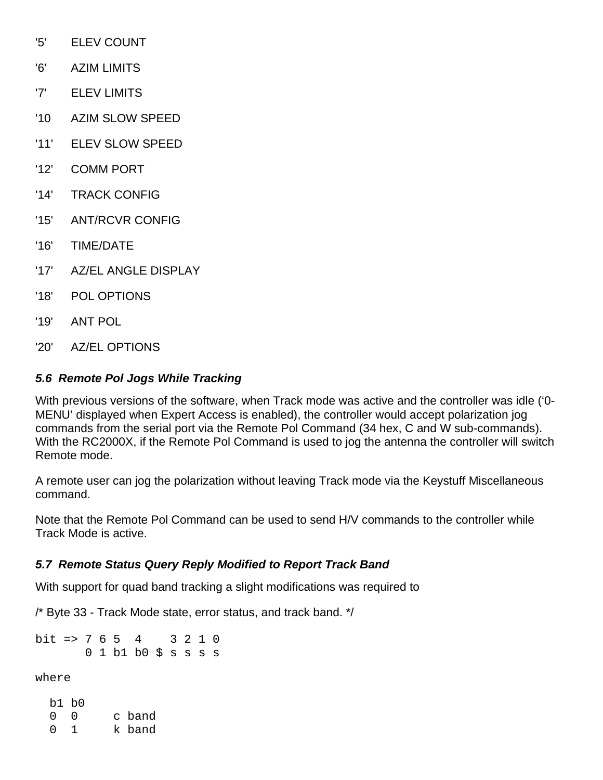- '5' ELEV COUNT
- '6' AZIM LIMITS
- '7' ELEV LIMITS
- '10 AZIM SLOW SPEED
- '11' ELEV SLOW SPEED
- '12' COMM PORT
- '14' TRACK CONFIG
- '15' ANT/RCVR CONFIG
- '16' TIME/DATE
- '17' AZ/EL ANGLE DISPLAY
- '18' POL OPTIONS
- '19' ANT POL
- '20' AZ/EL OPTIONS

#### *5.6 Remote Pol Jogs While Tracking*

With previous versions of the software, when Track mode was active and the controller was idle ('0- MENU' displayed when Expert Access is enabled), the controller would accept polarization jog commands from the serial port via the Remote Pol Command (34 hex, C and W sub-commands). With the RC2000X, if the Remote Pol Command is used to jog the antenna the controller will switch Remote mode.

A remote user can jog the polarization without leaving Track mode via the Keystuff Miscellaneous command.

Note that the Remote Pol Command can be used to send H/V commands to the controller while Track Mode is active.

#### *5.7 Remote Status Query Reply Modified to Report Track Band*

With support for quad band tracking a slight modifications was required to

/\* Byte 33 - Track Mode state, error status, and track band. \*/

bit => 7 6 5 4 3 2 1 0 0 1 b1 b0 \$ s s s s

where

 b1 b0 0 0 c band 0 1 k band